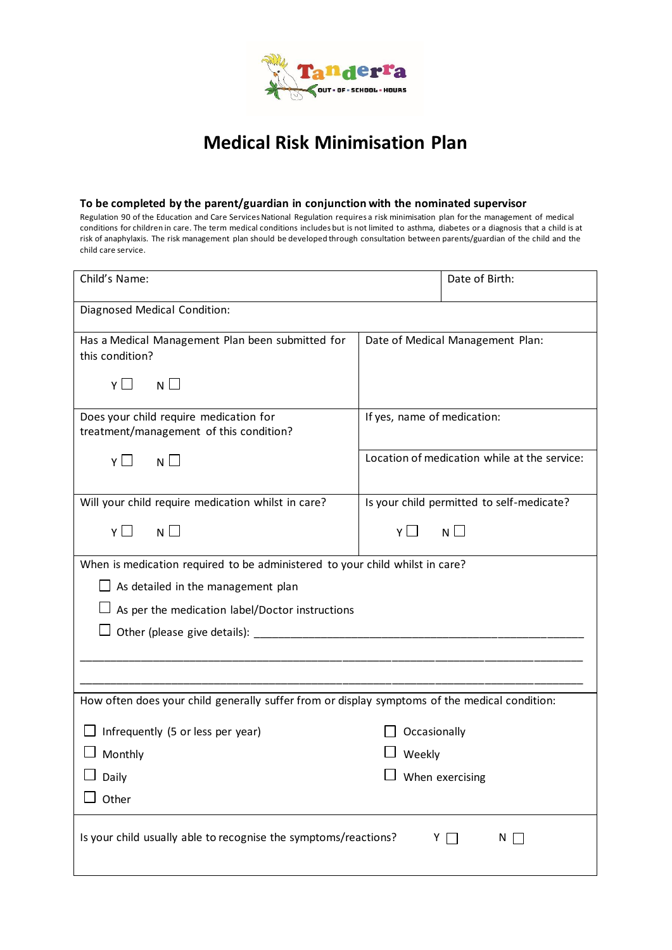

## **Medical Risk Minimisation Plan**

### **To be completed by the parent/guardian in conjunction with the nominated supervisor**

Regulation 90 of the Education and Care Services National Regulation requires a risk minimisation plan for the management of medical conditions for children in care. The term medical conditions includes but is not limited to asthma, diabetes or a diagnosis that a child is at risk of anaphylaxis. The risk management plan should be developed through consultation between parents/guardian of the child and the child care service.

| Child's Name:                                                                                 | Date of Birth:                               |  |  |
|-----------------------------------------------------------------------------------------------|----------------------------------------------|--|--|
| Diagnosed Medical Condition:                                                                  |                                              |  |  |
| Has a Medical Management Plan been submitted for<br>this condition?                           | Date of Medical Management Plan:             |  |  |
| Y□<br>$N \Box$                                                                                |                                              |  |  |
| Does your child require medication for<br>treatment/management of this condition?             | If yes, name of medication:                  |  |  |
| $N \Box$<br>YΠ                                                                                | Location of medication while at the service: |  |  |
| Will your child require medication whilst in care?                                            | Is your child permitted to self-medicate?    |  |  |
| $N \Box$<br>YП                                                                                | $N \Box$<br>Y□                               |  |  |
| When is medication required to be administered to your child whilst in care?                  |                                              |  |  |
| $\Box$ As detailed in the management plan                                                     |                                              |  |  |
| As per the medication label/Doctor instructions                                               |                                              |  |  |
|                                                                                               |                                              |  |  |
|                                                                                               |                                              |  |  |
| How often does your child generally suffer from or display symptoms of the medical condition: |                                              |  |  |
| Infrequently (5 or less per year)                                                             | Occasionally                                 |  |  |
| Monthly                                                                                       | Weekly                                       |  |  |
| $\Box$ Daily                                                                                  | $\Box$ When exercising                       |  |  |
| Other                                                                                         |                                              |  |  |
| Is your child usually able to recognise the symptoms/reactions?<br>YII<br>$N \Box$            |                                              |  |  |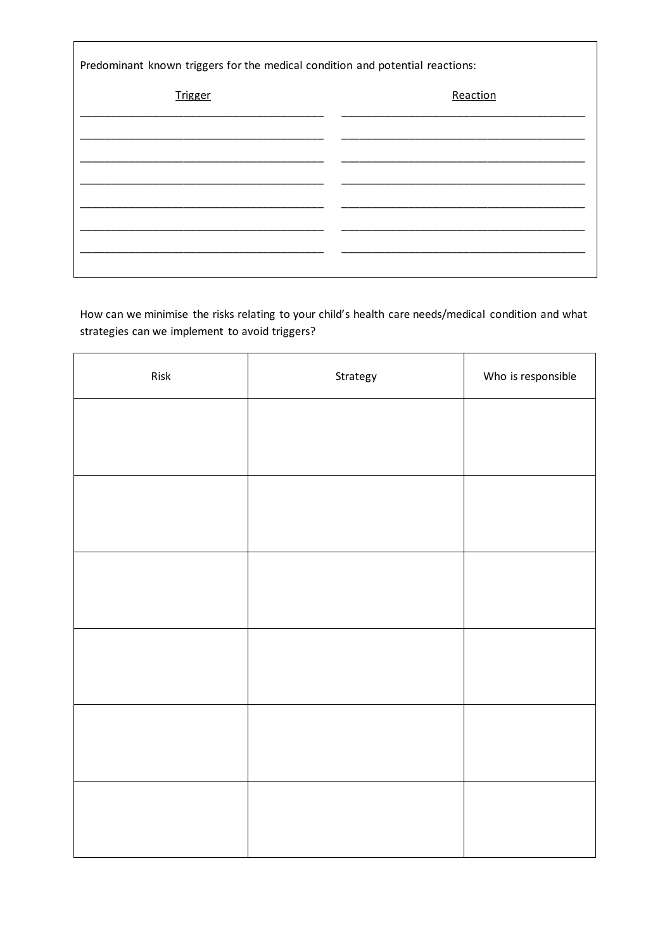| Predominant known triggers for the medical condition and potential reactions: |          |  |  |
|-------------------------------------------------------------------------------|----------|--|--|
| <b>Trigger</b>                                                                | Reaction |  |  |
|                                                                               |          |  |  |
|                                                                               |          |  |  |
|                                                                               |          |  |  |
|                                                                               |          |  |  |
|                                                                               |          |  |  |

How can we minimise the risks relating to your child's health care needs/medical condition and what strategies can we implement to avoid triggers?

| ${\sf Risk}$ | Strategy | Who is responsible |
|--------------|----------|--------------------|
|              |          |                    |
|              |          |                    |
|              |          |                    |
|              |          |                    |
|              |          |                    |
|              |          |                    |
|              |          |                    |
|              |          |                    |
|              |          |                    |
|              |          |                    |
|              |          |                    |
|              |          |                    |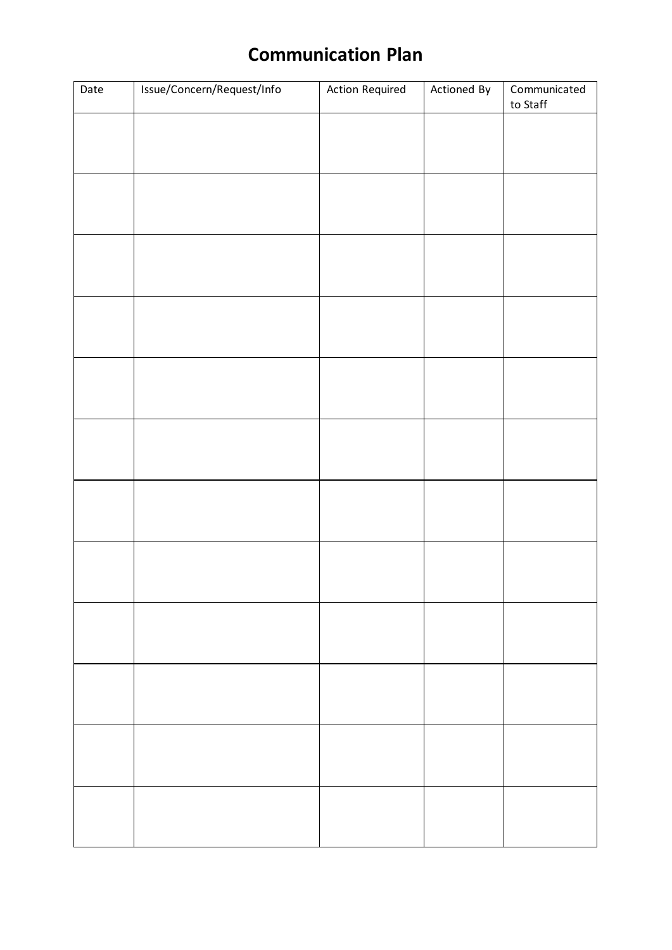# **Communication Plan**

| Date | Issue/Concern/Request/Info | <b>Action Required</b> | Actioned By | Communicated<br>to Staff |
|------|----------------------------|------------------------|-------------|--------------------------|
|      |                            |                        |             |                          |
|      |                            |                        |             |                          |
|      |                            |                        |             |                          |
|      |                            |                        |             |                          |
|      |                            |                        |             |                          |
|      |                            |                        |             |                          |
|      |                            |                        |             |                          |
|      |                            |                        |             |                          |
|      |                            |                        |             |                          |
|      |                            |                        |             |                          |
|      |                            |                        |             |                          |
|      |                            |                        |             |                          |
|      |                            |                        |             |                          |
|      |                            |                        |             |                          |
|      |                            |                        |             |                          |
|      |                            |                        |             |                          |
|      |                            |                        |             |                          |
|      |                            |                        |             |                          |
|      |                            |                        |             |                          |
|      |                            |                        |             |                          |
|      |                            |                        |             |                          |
|      |                            |                        |             |                          |
|      |                            |                        |             |                          |
|      |                            |                        |             |                          |